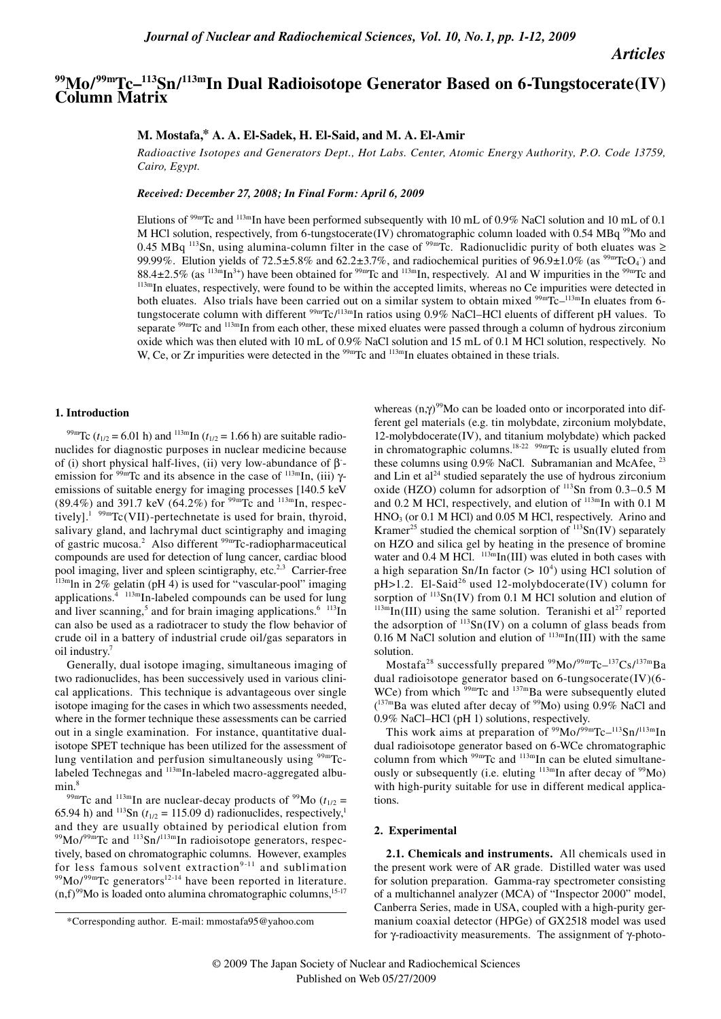# *Articles*

# **99Mo/99mTc–113Sn/113mIn Dual Radioisotope Generator Based on 6-Tungstocerate(IV) Column Matrix**

### **M. Mostafa,\* A. A. El-Sadek, H. El-Said, and M. A. El-Amir**

*Radioactive Isotopes and Generators Dept., Hot Labs. Center, Atomic Energy Authority, P.O. Code 13759, Cairo, Egypt.*

*Received: December 27, 2008; In Final Form: April 6, 2009*

Elutions of <sup>99m</sup>Tc and <sup>113m</sup>In have been performed subsequently with 10 mL of 0.9% NaCl solution and 10 mL of 0.1 M HCl solution, respectively, from 6-tungstocerate(IV) chromatographic column loaded with 0.54 MBq <sup>99</sup>Mo and 0.45 MBq <sup>113</sup>Sn, using alumina-column filter in the case of <sup>99m</sup>Tc. Radionuclidic purity of both eluates was ≥ 99.99%. Elution yields of  $72.5\pm5.8\%$  and  $62.2\pm3.7\%$ , and radiochemical purities of  $96.9\pm1.0\%$  (as  $^{99m}TcO<sub>4</sub>$ ) and  $88.4 \pm 2.5\%$  (as  $^{113m}$ In<sup>3+</sup>) have been obtained for <sup>99m</sup>Tc and  $^{113m}$ In, respectively. Al and W impurities in the <sup>99m</sup>Tc and  $^{113m}$ In eluates, respectively, were found to be within the accepted limits, whereas both eluates. Also trials have been carried out on a similar system to obtain mixed <sup>99m</sup>Tc–<sup>113m</sup>In eluates from 6tungstocerate column with different <sup>99m</sup>Tc/<sup>113m</sup>In ratios using 0.9% NaCl–HCl eluents of different pH values. To separate  $99mTc$  and  $113mTn$  from each other, these mixed eluates were passed through a column of hydrous zirconium oxide which was then eluted with 10 mL of 0.9% NaCl solution and 15 mL of 0.1 M HCl solution, respectively. No W, Ce, or Zr impurities were detected in the <sup>99m</sup>Tc and <sup>113m</sup>In eluates obtained in these trials.

#### **1. Introduction**

<sup>99m</sup>Tc ( $t_{1/2}$  = 6.01 h) and <sup>113m</sup>In ( $t_{1/2}$  = 1.66 h) are suitable radionuclides for diagnostic purposes in nuclear medicine because of (i) short physical half-lives, (ii) very low-abundance of  $\beta$ emission for  $99m$ Tc and its absence in the case of  $113m$ In, (iii)  $\gamma$ emissions of suitable energy for imaging processes [140.5 keV (89.4%) and 391.7 keV (64.2%) for <sup>99m</sup>Tc and <sup>113m</sup>In, respectively].<sup>1 99m</sup>Tc(VII)-pertechnetate is used for brain, thyroid, salivary gland, and lachrymal duct scintigraphy and imaging of gastric mucosa.<sup>2</sup> Also different <sup>99m</sup>Tc-radiopharmaceutical compounds are used for detection of lung cancer, cardiac blood pool imaging, liver and spleen scintigraphy, etc.<sup>2,3</sup> Carrier-free  $113m$ ln in 2% gelatin (pH 4) is used for "vascular-pool" imaging applications. $4 \frac{113 \text{m}}{n}$ In-labeled compounds can be used for lung and liver scanning,<sup>5</sup> and for brain imaging applications. $6 \frac{113}{10}$ In can also be used as a radiotracer to study the flow behavior of crude oil in a battery of industrial crude oil/gas separators in oil industry.

Generally, dual isotope imaging, simultaneous imaging of two radionuclides, has been successively used in various clinical applications. This technique is advantageous over single isotope imaging for the cases in which two assessments needed, where in the former technique these assessments can be carried out in a single examination. For instance, quantitative dualisotope SPET technique has been utilized for the assessment of lung ventilation and perfusion simultaneously using  $99mTc$ labeled Technegas and <sup>113m</sup>In-labeled macro-aggregated albumin.<sup>8</sup>

<sup>99m</sup>Tc and <sup>113m</sup>In are nuclear-decay products of <sup>99</sup>Mo ( $t_{1/2}$  = 65.94 h) and <sup>113</sup>Sn ( $t_{1/2}$  = 115.09 d) radionuclides, respectively,<sup>1</sup> and they are usually obtained by periodical elution from  $^{99}$ Mo/ $^{99}$ mTc and  $^{113}$ Sn/ $^{113}$ mIn radioisotope generators, respectively, based on chromatographic columns. However, examples<br>for less famous solvent extraction<sup>9-11</sup> and sublimation  $\frac{99 \text{Mo}}{99 \text{m}}$ Tc generators<sup>12-14</sup> have been reported in literature.  $(n,f)^{99}$ Mo is loaded onto alumina chromatographic columns,<sup>15-17</sup>

whereas (n,γ)<sup>99</sup>Mo can be loaded onto or incorporated into different gel materials (e.g. tin molybdate, zirconium molybdate, 12-molybdocerate(IV), and titanium molybdate) which packed in chromatographic columns.<sup>18-22</sup> <sup>99m</sup>Tc is usually eluted from these columns using 0.9% NaCl. Subramanian and McAfee, <sup>23</sup> and Lin et  $al<sup>24</sup>$  studied separately the use of hydrous zirconium oxide (HZO) column for adsorption of  $^{113}$ Sn from 0.3-0.5 M and 0.2 M HCl, respectively, and elution of  $^{113m}$ In with 0.1 M  $HNO<sub>3</sub>$  (or 0.1 M HCl) and 0.05 M HCl, respectively. Arino and Kramer<sup>25</sup> studied the chemical sorption of  $^{113}Sn(IV)$  separately on HZO and silica gel by heating in the presence of bromine water and 0.4 M HCl.  $^{113m}$ In(III) was eluted in both cases with a high separation Sn/In factor  $(>10<sup>4</sup>)$  using HCl solution of pH>1.2. El-Said<sup>26</sup> used 12-molybdocerate(IV) column for sorption of <sup>113</sup>Sn(IV) from 0.1 M HCl solution and elution of  $^{113m}$ In(III) using the same solution. Teranishi et al<sup>27</sup> reported the adsorption of  $^{113}Sn(IV)$  on a column of glass beads from 0.16 M NaCl solution and elution of  $^{113m}$ In(III) with the same solution.

Mostafa<sup>28</sup> successfully prepared <sup>99</sup>Mo/<sup>99m</sup>Tc<sup>-137</sup>Cs/<sup>137m</sup>Ba dual radioisotope generator based on 6-tungsocerate(IV)(6- WCe) from which <sup>99m</sup>Tc and <sup>137m</sup>Ba were subsequently eluted  $(137 \text{ m} \text{Ba} \text{ was eluted after decay of } 99 \text{Mo})$  using 0.9% NaCl and 0.9% NaCl–HCl (pH 1) solutions, respectively.

This work aims at preparation of  $99\text{Mo}/99\text{mTc} - ^{113}\text{Sn}/^{113\text{m}}$ In dual radioisotope generator based on 6-WCe chromatographic column from which <sup>99m</sup>Tc and <sup>113m</sup>In can be eluted simultaneously or subsequently (i.e. eluting  $^{113m}$ In after decay of  $^{99}$ Mo) with high-purity suitable for use in different medical applications.

#### **2. Experimental**

**2.1. Chemicals and instruments.** All chemicals used in the present work were of AR grade. Distilled water was used for solution preparation. Gamma-ray spectrometer consisting of a multichannel analyzer (MCA) of "Inspector 2000" model, Canberra Series, made in USA, coupled with a high-purity germanium coaxial detector (HPGe) of GX2518 model was used for γ-radioactivity measurements. The assignment of γ-photo-

<sup>\*</sup>Corresponding author. E-mail: mmostafa95@yahoo.com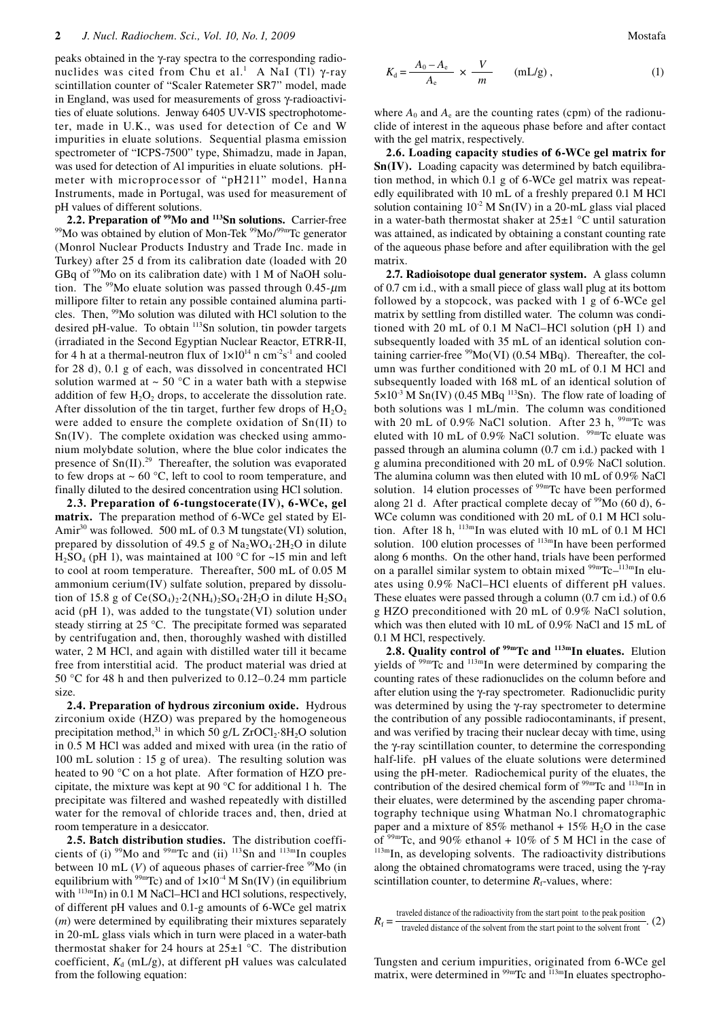peaks obtained in the γ-ray spectra to the corresponding radionuclides was cited from Chu et al.<sup>1</sup> A NaI (Tl) γ-ray scintillation counter of "Scaler Ratemeter SR7" model, made in England, was used for measurements of gross γ-radioactivities of eluate solutions. Jenway 6405 UV-VIS spectrophotometer, made in U.K., was used for detection of Ce and W impurities in eluate solutions. Sequential plasma emission spectrometer of "ICPS-7500" type, Shimadzu, made in Japan, was used for detection of Al impurities in eluate solutions. pHmeter with microprocessor of "pH211" model, Hanna Instruments, made in Portugal, was used for measurement of pH values of different solutions.<br>2.2. Preparation of <sup>99</sup>Mo and <sup>113</sup>Sn solutions. Carrier-free

<sup>99</sup>Mo was obtained by elution of Mon-Tek <sup>99</sup>Mo/<sup>99m</sup>Tc generator (Monrol Nuclear Products Industry and Trade Inc. made in Turkey) after 25 d from its calibration date (loaded with 20 GBq of 99Mo on its calibration date) with 1 M of NaOH solution. The <sup>99</sup>Mo eluate solution was passed through 0.45- $\mu$ m millipore filter to retain any possible contained alumina particles. Then, 99Mo solution was diluted with HCl solution to the desired pH-value. To obtain <sup>113</sup>Sn solution, tin powder targets (irradiated in the Second Egyptian Nuclear Reactor, ETRR-II, for 4 h at a thermal-neutron flux of  $1 \times 10^{14}$  n cm<sup>-2</sup>s<sup>-1</sup> and cooled for 28 d), 0.1 g of each, was dissolved in concentrated HCl solution warmed at  $\sim$  50 °C in a water bath with a stepwise addition of few  $H_2O_2$  drops, to accelerate the dissolution rate. After dissolution of the tin target, further few drops of  $H_2O_2$ were added to ensure the complete oxidation of Sn(II) to Sn(IV). The complete oxidation was checked using ammonium molybdate solution, where the blue color indicates the presence of  $Sn(II).^{29}$  Thereafter, the solution was evaporated to few drops at  $\sim 60$  °C, left to cool to room temperature, and finally diluted to the desired concentration using HCl solution.

**2.3. Preparation of 6-tungstocerate(IV), 6-WCe, gel matrix.** The preparation method of 6-WCe gel stated by El-Amir<sup>30</sup> was followed. 500 mL of 0.3 M tungstate(VI) solution, prepared by dissolution of 49.5 g of  $Na<sub>2</sub>WO<sub>4</sub>·2H<sub>2</sub>O$  in dilute  $H<sub>2</sub>SO<sub>4</sub>$  (pH 1), was maintained at 100 °C for ~15 min and left to cool at room temperature. Thereafter, 500 mL of 0.05 M ammonium cerium(IV) sulfate solution, prepared by dissolution of 15.8 g of  $Ce(SO<sub>4</sub>)<sub>2</sub>$  :  $2(NH<sub>4</sub>)<sub>2</sub>SO<sub>4</sub>$  :  $2H<sub>2</sub>O$  in dilute  $H<sub>2</sub>SO<sub>4</sub>$ acid (pH 1), was added to the tungstate(VI) solution under steady stirring at 25 °C. The precipitate formed was separated by centrifugation and, then, thoroughly washed with distilled water, 2 M HCl, and again with distilled water till it became free from interstitial acid. The product material was dried at 50 °C for 48 h and then pulverized to 0.12–0.24 mm particle size.

**2.4. Preparation of hydrous zirconium oxide.** Hydrous zirconium oxide (HZO) was prepared by the homogeneous precipitation method,<sup>31</sup> in which 50 g/L ZrOCl<sub>2</sub>·8H<sub>2</sub>O solution in 0.5 M HCl was added and mixed with urea (in the ratio of 100 mL solution : 15 g of urea). The resulting solution was heated to 90 °C on a hot plate. After formation of HZO precipitate, the mixture was kept at 90 °C for additional 1 h. The precipitate was filtered and washed repeatedly with distilled water for the removal of chloride traces and, then, dried at room temperature in a desiccator.

**2.5. Batch distribution studies.** The distribution coefficients of (i)  $\frac{99}{100}$  and  $\frac{99}{100}$ Tc and (ii)  $\frac{113}{100}$  and  $\frac{113}{100}$  In couples between 10 mL  $(V)$  of aqueous phases of carrier-free  $99$ Mo (in equilibrium with  $^{99m}$ Tc) and of  $1\times10^{-4}$  M Sn(IV) (in equilibrium with  $113m$ In) in 0.1 M NaCl-HCl and HCl solutions, respectively, of different pH values and 0.1-g amounts of 6-WCe gel matrix (*m*) were determined by equilibrating their mixtures separately in 20-mL glass vials which in turn were placed in a water-bath thermostat shaker for 24 hours at  $25\pm1$  °C. The distribution coefficient,  $K_d$  (mL/g), at different pH values was calculated from the following equation:

$$
K_{\rm d} = \frac{A_0 - A_{\rm e}}{A_{\rm e}} \times \frac{V}{m} \qquad (\text{mL/g})\,,\tag{1}
$$

where  $A_0$  and  $A_e$  are the counting rates (cpm) of the radionuclide of interest in the aqueous phase before and after contact with the gel matrix, respectively.

**2.6. Loading capacity studies of 6-WCe gel matrix for Sn(IV).** Loading capacity was determined by batch equilibration method, in which 0.1 g of 6-WCe gel matrix was repeatedly equilibrated with 10 mL of a freshly prepared 0.1 M HCl solution containing  $10^{-2}$  M Sn(IV) in a 20-mL glass vial placed in a water-bath thermostat shaker at  $25\pm1$  °C until saturation was attained, as indicated by obtaining a constant counting rate of the aqueous phase before and after equilibration with the gel matrix.

**2.7. Radioisotope dual generator system.** A glass column of 0.7 cm i.d., with a small piece of glass wall plug at its bottom followed by a stopcock, was packed with 1 g of 6-WCe gel matrix by settling from distilled water. The column was conditioned with 20 mL of 0.1 M NaCl–HCl solution (pH 1) and subsequently loaded with 35 mL of an identical solution containing carrier-free  $\frac{99}{10}$ (VI) (0.54 MBq). Thereafter, the column was further conditioned with 20 mL of 0.1 M HCl and subsequently loaded with 168 mL of an identical solution of  $5 \times 10^{-3}$  M Sn(IV) (0.45 MBq <sup>113</sup>Sn). The flow rate of loading of both solutions was 1 mL/min. The column was conditioned with 20 mL of 0.9% NaCl solution. After 23 h,  $99m$ Tc was eluted with 10 mL of 0.9% NaCl solution. <sup>99m</sup>Tc eluate was passed through an alumina column (0.7 cm i.d.) packed with 1 g alumina preconditioned with 20 mL of 0.9% NaCl solution. The alumina column was then eluted with 10 mL of 0.9% NaCl solution. 14 elution processes of <sup>99m</sup>Tc have been performed along 21 d. After practical complete decay of  $99Mo(60 d)$ , 6-WCe column was conditioned with 20 mL of 0.1 M HCl solution. After 18 h,  $^{113m}$ In was eluted with 10 mL of 0.1 M HCl solution. 100 elution processes of  $^{113m}$ In have been performed along 6 months. On the other hand, trials have been performed on a parallel similar system to obtain mixed  $99mTc-113mIn$  eluates using 0.9% NaCl–HCl eluents of different pH values. These eluates were passed through a column (0.7 cm i.d.) of 0.6 g HZO preconditioned with 20 mL of 0.9% NaCl solution, which was then eluted with 10 mL of 0.9% NaCl and 15 mL of 0.1 M HCl, respectively.

**2.8. Quality control of 99mTc and 113mIn eluates.** Elution yields of 99mTc and 113mIn were determined by comparing the counting rates of these radionuclides on the column before and after elution using the γ-ray spectrometer. Radionuclidic purity was determined by using the γ-ray spectrometer to determine the contribution of any possible radiocontaminants, if present, and was verified by tracing their nuclear decay with time, using the γ-ray scintillation counter, to determine the corresponding half-life. pH values of the eluate solutions were determined using the pH-meter. Radiochemical purity of the eluates, the contribution of the desired chemical form of <sup>99m</sup>Tc and <sup>113m</sup>In in their eluates, were determined by the ascending paper chromatography technique using Whatman No.1 chromatographic paper and a mixture of 85% methanol + 15%  $H_2O$  in the case of  $99<sup>99m</sup>$ Tc, and  $90%$  ethanol + 10% of 5 M HCl in the case of  $^{113m}$ In, as developing solvents. The radioactivity distributions along the obtained chromatograms were traced, using the γ-ray scintillation counter, to determine  $R_f$ -values, where:

 $R_f = \frac{\text{trabeled distance of the radioactivity from the start point to the peak position}}{\text{travelength distance of the solvent from the start point to the solvent front}}$ . (2)

Tungsten and cerium impurities, originated from 6-WCe gel matrix, were determined in  $99m$ Tc and  $113m$ In eluates spectropho-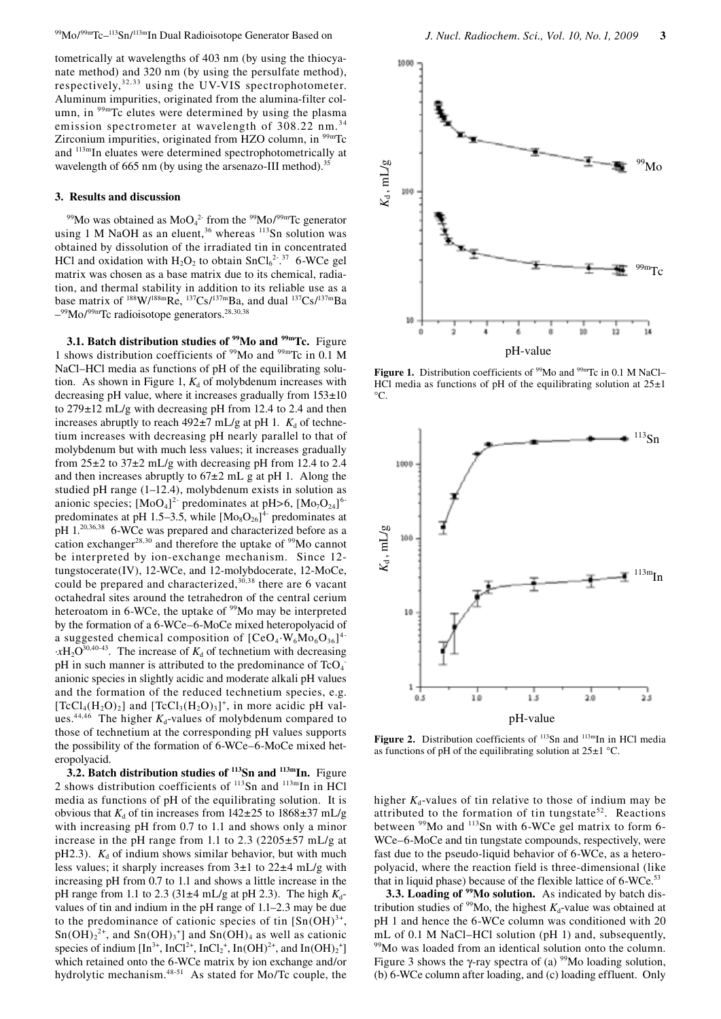tometrically at wavelengths of 403 nm (by using the thiocyanate method) and 320 nm (by using the persulfate method), respectively,  $32,33$  using the UV-VIS spectrophotometer. Aluminum impurities, originated from the alumina-filter column, in <sup>99m</sup>Tc elutes were determined by using the plasma emission spectrometer at wavelength of 308.22 nm.<sup>34</sup> Zirconium impurities, originated from HZO column, in <sup>99m</sup>Tc and  $113$ <sup>m</sup>In eluates were determined spectrophotometrically at wavelength of 665 nm (by using the arsenazo-III method).<sup>35</sup>

#### **3. Results and discussion**

<sup>99</sup>Mo was obtained as  $MoO<sub>4</sub><sup>2</sup>$  from the <sup>99</sup>Mo/<sup>99m</sup>Tc generator using 1 M NaOH as an eluent,  $36$  whereas  $113$ Sn solution was obtained by dissolution of the irradiated tin in concentrated HCl and oxidation with  $H_2O_2$  to obtain  $SnCl_6^{2-37}$  6-WCe gel matrix was chosen as a base matrix due to its chemical, radiation, and thermal stability in addition to its reliable use as a base matrix of  $188 \text{W}/188 \text{m}$ Re,  $137 \text{Cs}/137 \text{m}$ Ba, and dual  $137 \text{Cs}/137 \text{m}$ Ba  $-$ <sup>99</sup>Mo/<sup>99m</sup>Tc radioisotope generators.<sup>28,30,38</sup>

**3.1. Batch distribution studies of <sup>99</sup>Mo and <sup>99m</sup>Tc. Figure** 1 shows distribution coefficients of 99Mo and 99mTc in 0.1 M NaCl–HCl media as functions of pH of the equilibrating solution. As shown in Figure 1,  $K_d$  of molybdenum increases with decreasing pH value, where it increases gradually from  $153\pm10$ to 279±12 mL/g with decreasing pH from 12.4 to 2.4 and then increases abruptly to reach  $492\pm7$  mL/g at pH 1.  $K_d$  of technetium increases with decreasing pH nearly parallel to that of molybdenum but with much less values; it increases gradually from  $25\pm2$  to  $37\pm2$  mL/g with decreasing pH from 12.4 to 2.4 and then increases abruptly to  $67±2$  mL g at pH 1. Along the studied pH range (1–12.4), molybdenum exists in solution as anionic species;  $[MoO_4]^2$  predominates at pH>6,  $[Mo<sub>7</sub>O<sub>24</sub>]$ <sup>6</sup> predominates at pH 1.5–3.5, while  $[Mo_8O_{26}]^4$  predominates at pH 1.<sup>20,36,38</sup> 6-WCe was prepared and characterized before as a cation exchanger<sup>28,30</sup> and therefore the uptake of  $99M$ o cannot be interpreted by ion-exchange mechanism. Since 12 tungstocerate(IV), 12-WCe, and 12-molybdocerate, 12-MoCe, could be prepared and characterized, $30,38$  there are 6 vacant octahedral sites around the tetrahedron of the central cerium heteroatom in 6-WCe, the uptake of <sup>99</sup>Mo may be interpreted by the formation of a 6-WCe–6-MoCe mixed heteropolyacid of a suggested chemical composition of  $[CeO<sub>4</sub>·W<sub>6</sub>Mo<sub>6</sub>O<sub>36</sub>]<sup>4</sup>$  $\cdot xH_2O^{30,40-43}$ . The increase of  $K_d$  of technetium with decreasing pH in such manner is attributed to the predominance of  $TcO<sub>4</sub>$ anionic species in slightly acidic and moderate alkali pH values and the formation of the reduced technetium species, e.g.  $[TCl_4(H_2O)_2]$  and  $[TCl_3(H_2O)_3]^+$ , in more acidic pH values.<sup>44,46</sup> The higher  $K_d$ -values of molybdenum compared to those of technetium at the corresponding pH values supports the possibility of the formation of 6-WCe–6-MoCe mixed heteropolyacid.

**3.2. Batch distribution studies of <sup>113</sup>Sn and <sup>113m</sup>In. Figure** 2 shows distribution coefficients of  $^{113}$ Sn and  $^{113m}$ In in HCl media as functions of pH of the equilibrating solution. It is obvious that  $K_d$  of tin increases from  $142\pm 25$  to  $1868\pm 37$  mL/g with increasing pH from 0.7 to 1.1 and shows only a minor increase in the pH range from 1.1 to 2.3 (2205 $\pm$ 57 mL/g at pH2.3).  $K_d$  of indium shows similar behavior, but with much less values; it sharply increases from 3±1 to 22±4 mL/g with increasing pH from 0.7 to 1.1 and shows a little increase in the pH range from 1.1 to 2.3 (31 $\pm$ 4 mL/g at pH 2.3). The high  $K_d$ values of tin and indium in the pH range of 1.1–2.3 may be due to the predominance of cationic species of tin  $[Sn(OH)<sup>3+</sup>]$ ,  $Sn(OH)<sub>2</sub><sup>2+</sup>$ , and  $Sn(OH)<sub>3</sub><sup>+</sup>$  and  $Sn(OH)<sub>4</sub>$  as well as cationic species of indium  $[\text{In}^{3+}, \text{InCl}^{2+}, \text{InCl}_2^+, \text{In}(\text{OH})^{2+}, \text{and } \text{In}(\text{OH})_2^+]$ which retained onto the 6-WCe matrix by ion exchange and/or hydrolytic mechanism.<sup>48-51</sup> As stated for Mo/Tc couple, the



**Figure 1.** Distribution coefficients of <sup>99</sup>Mo and <sup>99m</sup>Tc in 0.1 M NaCl– HCl media as functions of pH of the equilibrating solution at  $25\pm1$  $^{\circ}C$ .



**Figure 2.** Distribution coefficients of <sup>113</sup>Sn and <sup>113m</sup>In in HCl media as functions of pH of the equilibrating solution at  $25\pm1$  °C.

higher  $K_d$ -values of tin relative to those of indium may be attributed to the formation of tin tungstate<sup>52</sup>. Reactions between <sup>99</sup>Mo and <sup>113</sup>Sn with 6-WCe gel matrix to form 6-WCe–6-MoCe and tin tungstate compounds, respectively, were fast due to the pseudo-liquid behavior of 6-WCe, as a heteropolyacid, where the reaction field is three-dimensional (like that in liquid phase) because of the flexible lattice of  $6$ -WCe.<sup>53</sup>

**3.3. Loading of <sup>99</sup>Mo solution.** As indicated by batch distribution studies of <sup>99</sup>Mo, the highest  $K_d$ -value was obtained at pH 1 and hence the 6-WCe column was conditioned with 20 mL of 0.1 M NaCl–HCl solution (pH 1) and, subsequently, <sup>99</sup>Mo was loaded from an identical solution onto the column. Figure 3 shows the γ-ray spectra of (a)  $\frac{99}{9}$ Mo loading solution, (b) 6-WCe column after loading, and (c) loading effluent. Only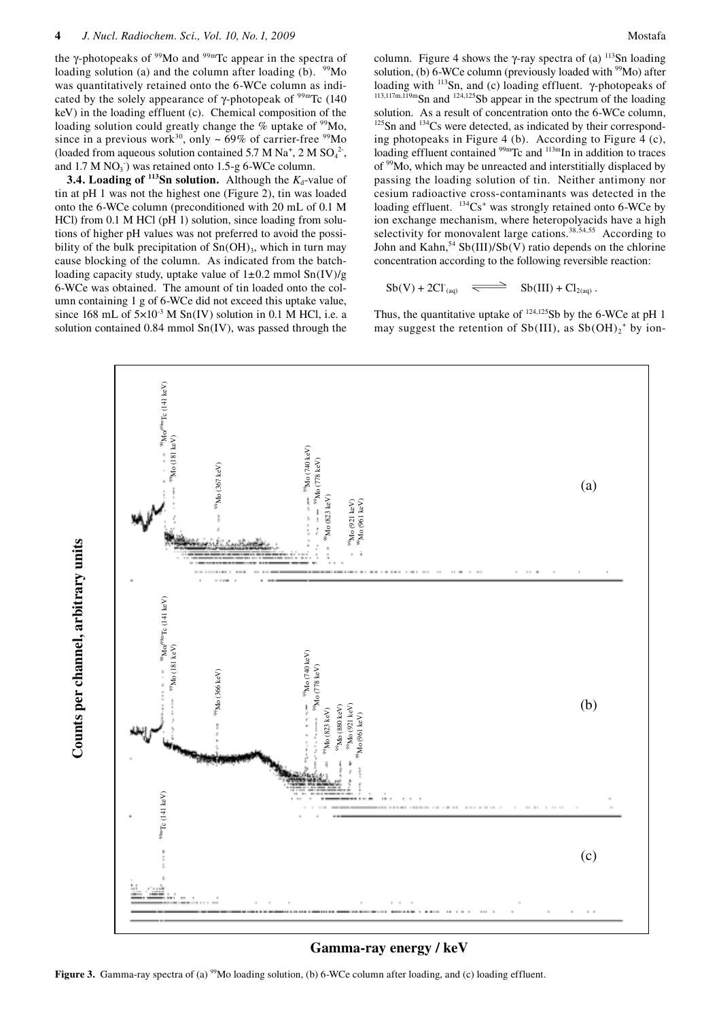the  $\gamma$ -photopeaks of  $\frac{99}{9}$ Mo and  $\frac{99}{9}$ Tc appear in the spectra of loading solution (a) and the column after loading (b).  $\frac{99}{100}$ was quantitatively retained onto the 6-WCe column as indicated by the solely appearance of  $\gamma$ -photopeak of  $\frac{99 \text{m}}{\text{C}}$  (140 keV) in the loading effluent (c). Chemical composition of the loading solution could greatly change the % uptake of <sup>99</sup>Mo, since in a previous work<sup>30</sup>, only  $\sim$  69% of carrier-free <sup>99</sup>Mo (loaded from aqueous solution contained 5.7 M Na<sup>+</sup>, 2 M SO<sub>4</sub><sup>2</sup>, and  $1.7 M NO<sub>3</sub>$ ) was retained onto  $1.5-g$  6-WCe column.

**3.4.** Loading of  $^{113}$ Sn solution. Although the  $K_d$ -value of tin at pH 1 was not the highest one (Figure 2), tin was loaded onto the 6-WCe column (preconditioned with 20 mL of 0.1 M HCl) from 0.1 M HCl (pH 1) solution, since loading from solutions of higher pH values was not preferred to avoid the possibility of the bulk precipitation of  $Sn(OH)$ <sub>3</sub>, which in turn may cause blocking of the column. As indicated from the batchloading capacity study, uptake value of  $1\pm 0.2$  mmol  $Sn(IV)/g$ 6-WCe was obtained. The amount of tin loaded onto the column containing 1 g of 6-WCe did not exceed this uptake value, since 168 mL of  $5 \times 10^{-3}$  M Sn(IV) solution in 0.1 M HCl, i.e. a solution contained 0.84 mmol Sn(IV), was passed through the Mostafa

113,117m,119m<sub>Sn</sub> and <sup>124,125</sup>Sb appear in the spectrum of the loading solution. As a result of concentration onto the 6-WCe column,  $125$ Sn and  $134$ Cs were detected, as indicated by their corresponding photopeaks in Figure 4 (b). According to Figure 4 (c), loading effluent contained <sup>99m</sup>Tc and <sup>113m</sup>In in addition to traces of <sup>99</sup>Mo, which may be unreacted and interstitially displaced by passing the loading solution of tin. Neither antimony nor cesium radioactive cross-contaminants was detected in the loading effluent.  $^{134}Cs^+$  was strongly retained onto 6-WCe by ion exchange mechanism, where heteropolyacids have a high selectivity for monovalent large cations.<sup>38,54,55</sup> According to John and Kahn,  $54$  Sb(III)/Sb(V) ratio depends on the chlorine concentration according to the following reversible reaction:

 $Sb(V) + 2Cl_{(a0)} \implies Sb(III) + Cl_{2(a0)}$ .

Thus, the quantitative uptake of <sup>124,125</sup>Sb by the 6-WCe at pH 1 may suggest the retention of  $Sb(III)$ , as  $Sb(OH)<sub>2</sub><sup>+</sup> by ion-$ 



Figure 3. Gamma-ray spectra of (a)  $\frac{99}{100}$  loading solution, (b) 6-WCe column after loading, and (c) loading effluent.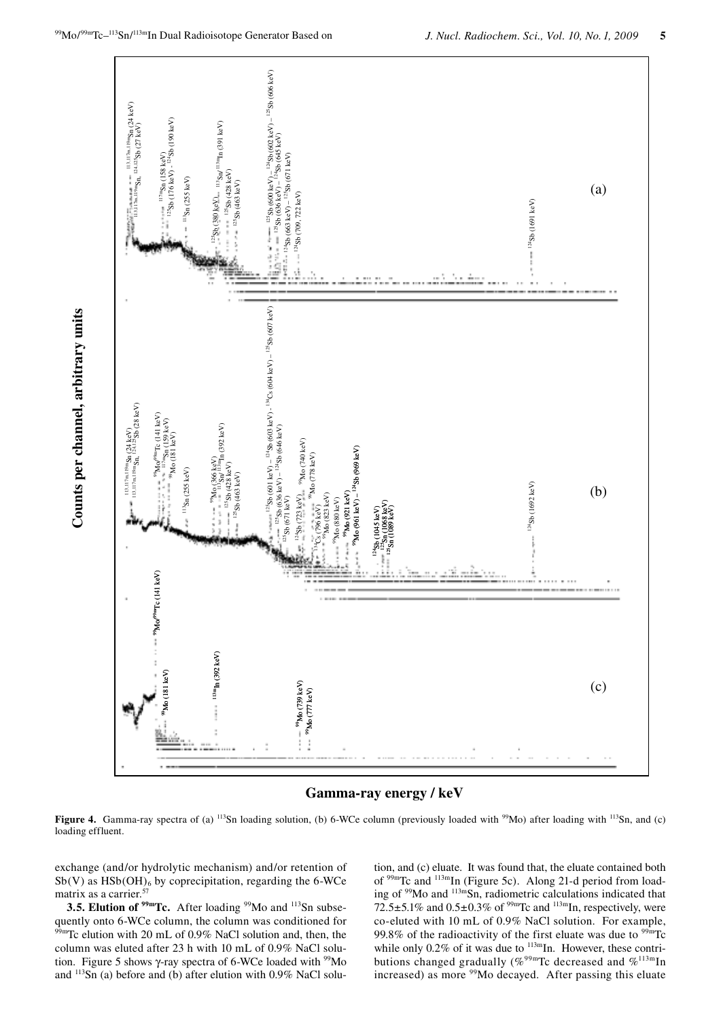



Figure 4. Gamma-ray spectra of (a) <sup>113</sup>Sn loading solution, (b) 6-WCe column (previously loaded with <sup>99</sup>Mo) after loading with <sup>113</sup>Sn, and (c) loading effluent.

exchange (and/or hydrolytic mechanism) and/or retention of  $Sb(V)$  as  $HSb(OH)$ <sub>6</sub> by coprecipitation, regarding the 6-WCe matrix as a carrier.<sup>57</sup>

3.5. Elution of <sup>99m</sup>Tc. After loading <sup>99</sup>Mo and <sup>113</sup>Sn subsequently onto 6-WCe column, the column was conditioned for 99mTc elution with 20 mL of 0.9% NaCl solution and, then, the column was eluted after 23 h with 10 mL of 0.9% NaCl solution. Figure 5 shows  $\gamma$ -ray spectra of 6-WCe loaded with  $\frac{99}{9}$ Mo and <sup>113</sup>Sn (a) before and (b) after elution with 0.9% NaCl solution, and (c) eluate. It was found that, the eluate contained both of <sup>99m</sup>Tc and <sup>113m</sup>In (Figure 5c). Along 21-d period from loading of <sup>99</sup>Mo and <sup>113m</sup>Sn, radiometric calculations indicated that 72.5±5.1% and  $0.5\pm0.3\%$  of <sup>99m</sup>Tc and <sup>113m</sup>In, respectively, were co-eluted with 10 mL of 0.9% NaCl solution. For example, 99.8% of the radioactivity of the first eluate was due to  $99m$ Tc while only 0.2% of it was due to  $^{113m}$ In. However, these contributions changed gradually (%<sup>99m</sup>Tc decreased and %<sup>113m</sup>In increased) as more <sup>99</sup>Mo decayed. After passing this eluate

Counts per channel, arbitrary units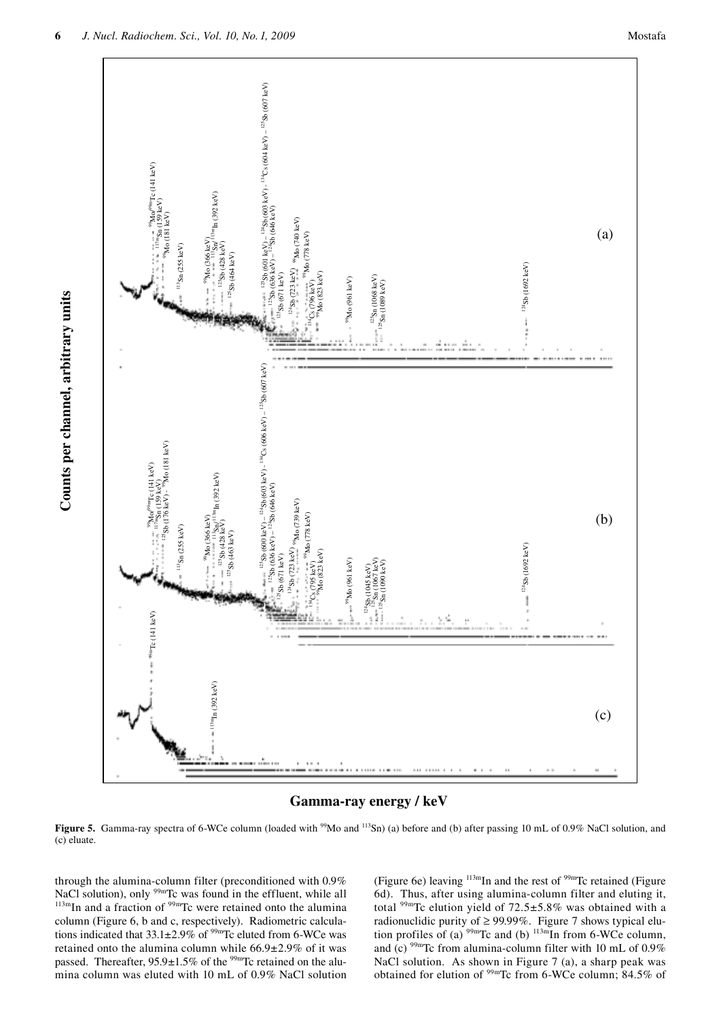



Figure 5. Gamma-ray spectra of 6-WCe column (loaded with <sup>99</sup>Mo and <sup>113</sup>Sn) (a) before and (b) after passing 10 mL of 0.9% NaCl solution, and (c) eluate.

through the alumina-column filter (preconditioned with 0.9% NaCl solution), only <sup>99m</sup>Tc was found in the effluent, while all  $^{113m}$ In and a fraction of <sup>99m</sup>Tc were retained onto the alumina column (Figure 6, b and c, respectively). Radiometric calculations indicated that  $33.1 \pm 2.9\%$  of <sup>99m</sup>Tc eluted from 6-WCe was retained onto the alumina column while  $66.9 \pm 2.9\%$  of it was passed. Thereafter,  $95.9 \pm 1.5\%$  of the <sup>99m</sup>Tc retained on the alumina column was eluted with 10 mL of  $0.9\%$  NaCl solution

(Figure 6e) leaving  $^{113m}$ In and the rest of  $^{99m}$ Tc retained (Figure 6d). Thus, after using alumina-column filter and eluting it, total <sup>99m</sup>Tc elution yield of  $72.5 \pm 5.8\%$  was obtained with a radionuclidic purity of  $\geq$  99.99%. Figure 7 shows typical elution profiles of (a) <sup>99m</sup>Tc and (b) <sup>113m</sup>In from 6-WCe column, and (c)  $^{99m}$ Tc from alumina-column filter with 10 mL of 0.9% NaCl solution. As shown in Figure 7 (a), a sharp peak was obtained for elution of  $\frac{99 \text{m}}{2}$  from 6-WCe column; 84.5% of

Counts per channel, arbitrary units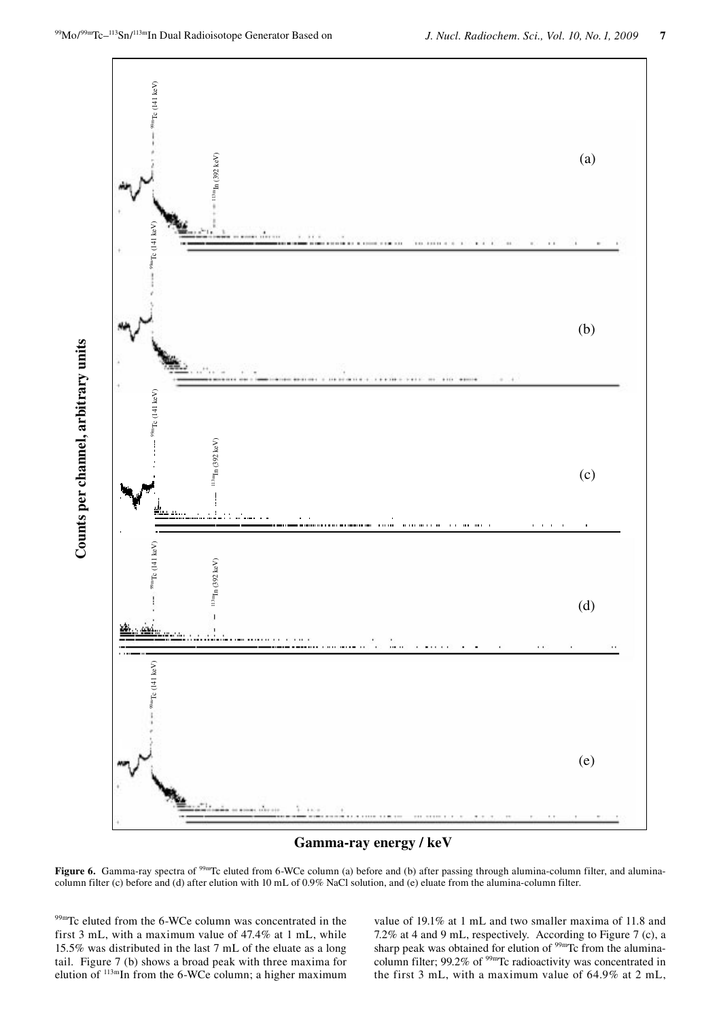Counts per channel, arbitrary units





Figure 6. Gamma-ray spectra of <sup>99m</sup>Tc eluted from 6-WCe column (a) before and (b) after passing through alumina-column filter, and aluminacolumn filter (c) before and (d) after elution with 10 mL of 0.9% NaCl solution, and (e) eluate from the alumina-column filter.

99mTc eluted from the 6-WCe column was concentrated in the first 3 mL, with a maximum value of 47.4% at 1 mL, while 15.5% was distributed in the last 7 mL of the eluate as a long tail. Figure 7 (b) shows a broad peak with three maxima for elution of  $^{113m}$ In from the 6-WCe column; a higher maximum value of 19.1% at 1 mL and two smaller maxima of 11.8 and 7.2% at 4 and 9 mL, respectively. According to Figure 7 (c), a sharp peak was obtained for elution of <sup>99m</sup>Tc from the aluminacolumn filter; 99.2% of  $99mTc$  radioactivity was concentrated in the first  $3$  mL, with a maximum value of  $64.9\%$  at  $2$  mL,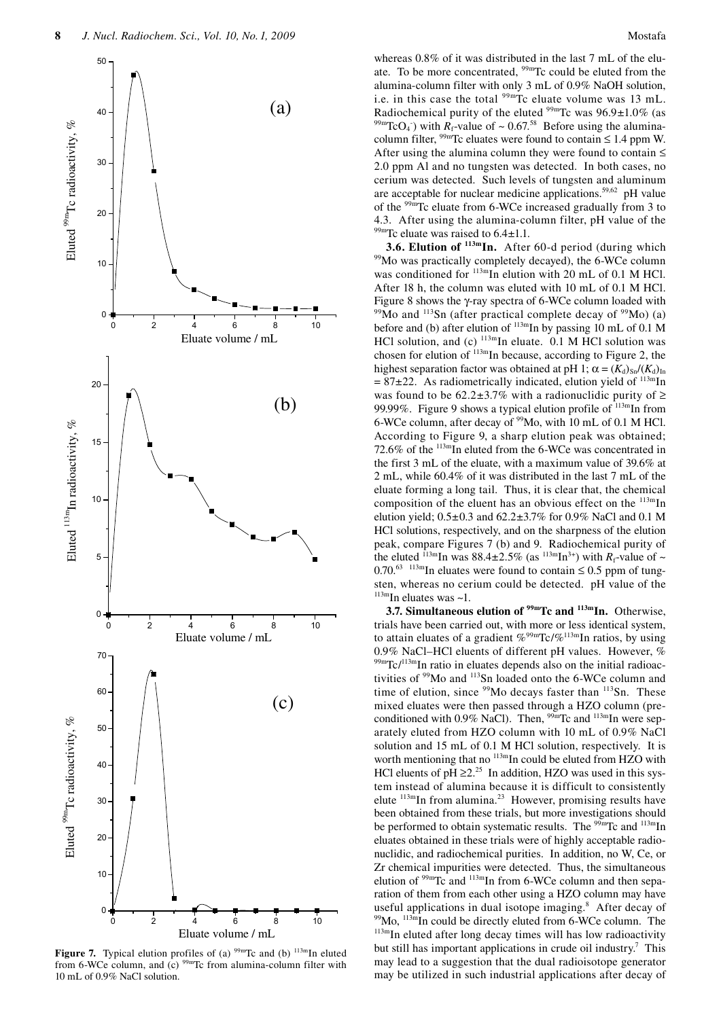

**Figure 7.** Typical elution profiles of (a)  $99m$ Tc and (b)  $113m$ In eluted from 6-WCe column, and (c)  $99m$ Tc from alumina-column filter with

whereas 0.8% of it was distributed in the last 7 mL of the eluate. To be more concentrated, <sup>99mT</sup>c could be eluted from the alumina-column filter with only 3 mL of 0.9% NaOH solution, i.e. in this case the total  $99m$ Tc eluate volume was 13 mL. Radiochemical purity of the eluted  $99m$ Tc was  $96.9 \pm 1.0\%$  (as ) with  $R_f$ -value of  $\sim 0.67$ <sup>58</sup> Before using the aluminacolumn filter,  $\frac{99 \text{m}}{2}$  celuates were found to contain  $\leq 1.4$  ppm W. After using the alumina column they were found to contain  $\leq$ 2.0 ppm Al and no tungsten was detected. In both cases, no cerium was detected. Such levels of tungsten and aluminum are acceptable for nuclear medicine applications.<sup>59,62</sup> pH value of the 99mTc eluate from 6-WCe increased gradually from 3 to 4.3. After using the alumina-column filter, pH value of the

<sup>99m</sup>Tc eluate was raised to  $6.4 \pm 1.1$ .<br>3.6. Elution of <sup>113m</sup>In. After 60-d period (during which <sup>99</sup>Mo was practically completely decayed), the 6-WCe column was conditioned for  $\frac{113 \text{m}}{\text{m}}$  elution with 20 mL of 0.1 M HCl. After 18 h, the column was eluted with 10 mL of 0.1 M HCl. Figure 8 shows the  $\gamma$ -ray spectra of 6-WCe column loaded with <sup>99</sup>Mo and <sup>113</sup>Sn (after practical complete decay of <sup>99</sup>Mo) (a) before and (b) after elution of  $^{113m}$ In by passing 10 mL of 0.1 M HCl solution, and (c)  $^{113m}$ In eluate. 0.1 M HCl solution was chosen for elution of  $113$ mIn because, according to Figure 2, the highest separation factor was obtained at pH 1;  $\alpha = (K_d)_{S_n}/(K_d)_{I_n}$  $= 87\pm 22$ . As radiometrically indicated, elution yield of  $113 \text{ m}$ In was found to be  $62.2\pm3.7\%$  with a radionuclidic purity of  $\geq$ 99.99%. Figure 9 shows a typical elution profile of  $\frac{113 \text{m}}{211}$  from 6-WCe column, after decay of 99Mo, with 10 mL of 0.1 M HCl. According to Figure 9, a sharp elution peak was obtained; 72.6% of the 113mIn eluted from the 6-WCe was concentrated in the first 3 mL of the eluate, with a maximum value of 39.6% at 2 mL, while 60.4% of it was distributed in the last 7 mL of the eluate forming a long tail. Thus, it is clear that, the chemical composition of the eluent has an obvious effect on the  $113mIn$ elution yield; 0.5±0.3 and 62.2±3.7% for 0.9% NaCl and 0.1 M HCl solutions, respectively, and on the sharpness of the elution peak, compare Figures 7 (b) and 9. Radiochemical purity of the eluted <sup>113m</sup>In was 88.4±2.5% (as <sup>113m</sup>In<sup>3+</sup>) with  $R_f$ -value of ~ 0.70.<sup>63</sup> <sup>113m</sup>In eluates were found to contain  $\leq$  0.5 ppm of tungsten, whereas no cerium could be detected. pH value of the  $113$ m<sub>In</sub> eluates was ~1.

**3.7. Simultaneous elution of <sup>99m</sup>Tc and <sup>113m</sup>In. Otherwise,** trials have been carried out, with more or less identical system, to attain eluates of a gradient  $\%^{99m}\text{Tc}/\%^{113m}\text{In ratios, by using}$ 0.9% NaCl–HCl eluents of different pH values. However, % 99mTc/<sup>113m</sup>In ratio in eluates depends also on the initial radioactivities of 99Mo and 113Sn loaded onto the 6-WCe column and time of elution, since  $99Mo$  decays faster than  $113Sn$ . These mixed eluates were then passed through a HZO column (preconditioned with 0.9% NaCl). Then, <sup>99m</sup>Tc and <sup>113m</sup>In were separately eluted from HZO column with 10 mL of 0.9% NaCl solution and 15 mL of 0.1 M HCl solution, respectively. It is worth mentioning that no  $^{113m}$ In could be eluted from HZO with HCl eluents of  $pH \ge 2^{25}$  In addition, HZO was used in this system instead of alumina because it is difficult to consistently elute  $113$ mIn from alumina.<sup>23</sup> However, promising results have been obtained from these trials, but more investigations should be performed to obtain systematic results. The <sup>99m</sup>Tc and <sup>113m</sup>In eluates obtained in these trials were of highly acceptable radionuclidic, and radiochemical purities. In addition, no W, Ce, or Zr chemical impurities were detected. Thus, the simultaneous elution of  $99mTc$  and  $113mTn$  from 6-WCe column and then separation of them from each other using a HZO column may have useful applications in dual isotope imaging.<sup>8</sup> After decay of  $^{99}$ Mo,  $^{113m}$ In could be directly eluted from 6-WCe column. The  $^{113m}$ In eluted after long decay times will has low radioactivity but still has important applications in crude oil industry.<sup>7</sup> This may lead to a suggestion that the dual radioisotope generator may be utilized in such industrial applications after decay of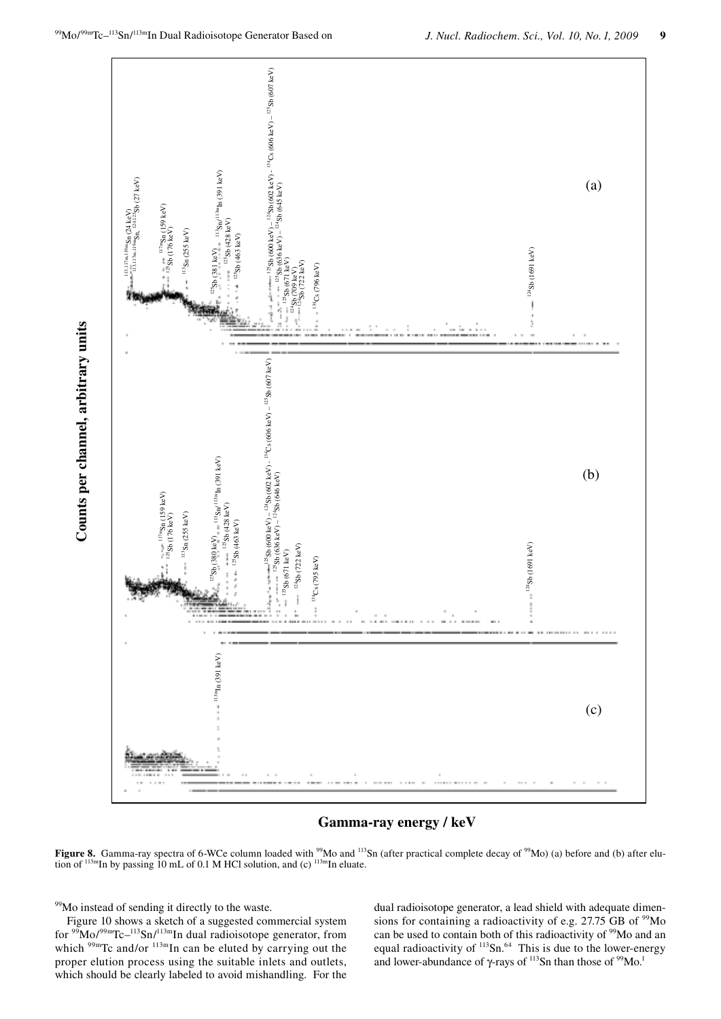

# Gamma-ray energy / keV

Figure 8. Gamma-ray spectra of 6-WCe column loaded with <sup>99</sup>Mo and <sup>113</sup>Sn (after practical complete decay of <sup>99</sup>Mo) (a) before and (b) after elution of  $^{113m}$ In by passing 10 mL of 0.1 M HCl solution, and (c)  $^{113m}$ In eluate.

<sup>99</sup>Mo instead of sending it directly to the waste.

Counts per channel, arbitrary units

Figure 10 shows a sketch of a suggested commercial system<br>for  $\frac{99 \text{Mo}}{99 \text{m} \text{Co}}$ <sup>99m</sup>Tc<sup>-113</sup>Sn/<sup>113m</sup>In dual radioisotope generator, from which <sup>99m</sup>Tc and/or <sup>113m</sup>In can be eluted by carrying out the proper elution process using the suitable inlets and outlets, which should be clearly labeled to avoid mishandling. For the

dual radioisotope generator, a lead shield with adequate dimensions for containing a radioactivity of e.g. 27.75 GB of <sup>99</sup>Mo can be used to contain both of this radioactivity of <sup>99</sup>Mo and an equal radioactivity of 113Sn.<sup>64</sup> This is due to the lower-energy and lower-abundance of  $\gamma$ -rays of  $^{113}$ Sn than those of  $^{99}$ Mo.<sup>1</sup>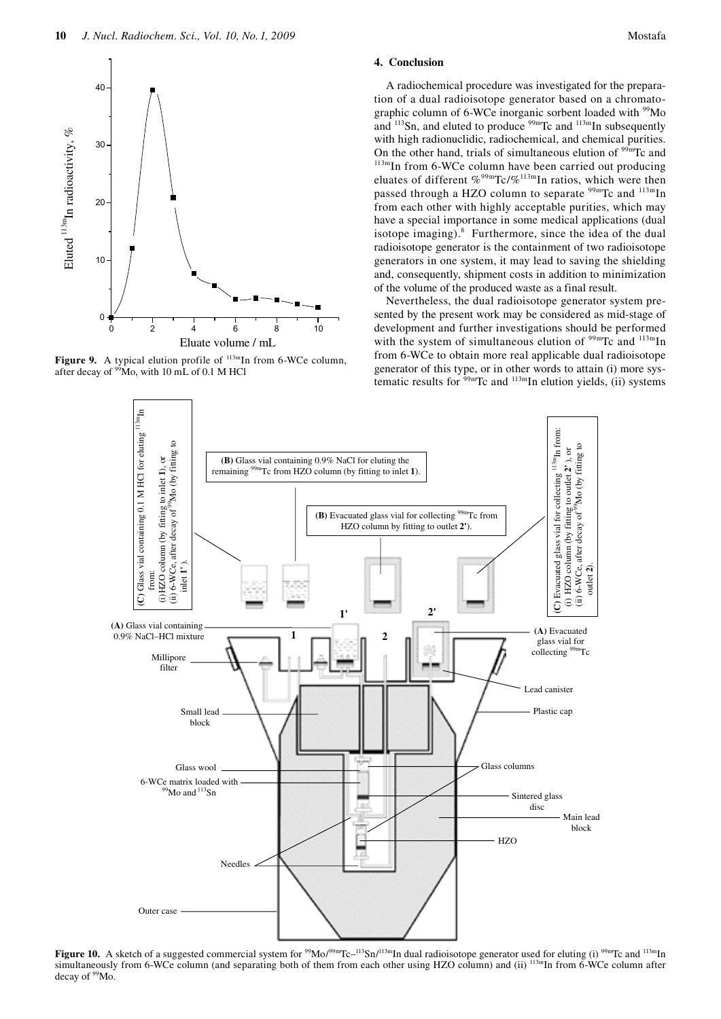

**Figure 9.** A typical elution profile of  $^{113m}$ In from 6-WCe column, after decay of  $\frac{99}{2}$ Mo, with 10 mL of 0.1 M HCl

# 4. Conclusion

A radiochemical procedure was investigated for the preparation of a dual radioisotope generator based on a chromatographic column of 6-WCe inorganic sorbent loaded with <sup>99</sup>Mo and <sup>113</sup>Sn, and eluted to produce <sup>99m</sup>Tc and <sup>113m</sup>In subsequently with high radionuclidic, radiochemical, and chemical purities. On the other hand, trials of simultaneous elution of <sup>99m</sup>Tc and  $^{113m}$ In from 6-WCe column have been carried out producing eluates of different %<sup>99m</sup>Tc/%<sup>113m</sup>In ratios, which were then passed through a HZO column to separate <sup>99m</sup>Tc and <sup>113m</sup>In from each other with highly acceptable purities, which may have a special importance in some medical applications (dual isotope imaging).<sup>8</sup> Furthermore, since the idea of the dual radioisotope generator is the containment of two radioisotope generators in one system, it may lead to saving the shielding and, consequently, shipment costs in addition to minimization of the volume of the produced waste as a final result.

Nevertheless, the dual radioisotope generator system presented by the present work may be considered as mid-stage of development and further investigations should be performed with the system of simultaneous elution of <sup>99m</sup>Tc and <sup>113m</sup>In from 6-WCe to obtain more real applicable dual radioisotope generator of this type, or in other words to attain (i) more systematic results for  $\frac{59 \text{m}}{2}$  Tc and  $\frac{113 \text{m}}{2}$  In elution yields, (ii) systems



Figure 10. A sketch of a suggested commercial system for  $\frac{99}{100}$  / $\frac{99}{100}$  / $\frac{113}{100}$  In dual radioisotope generator used for eluting (i)  $\frac{99}{100}$  Tc and  $\frac{113}{100}$  In simultaneously from 6-WCe column (and separating both of them from each other using HZO column) and (ii) <sup>113m</sup>In from 6-WCe column after decay of <sup>99</sup>Mo.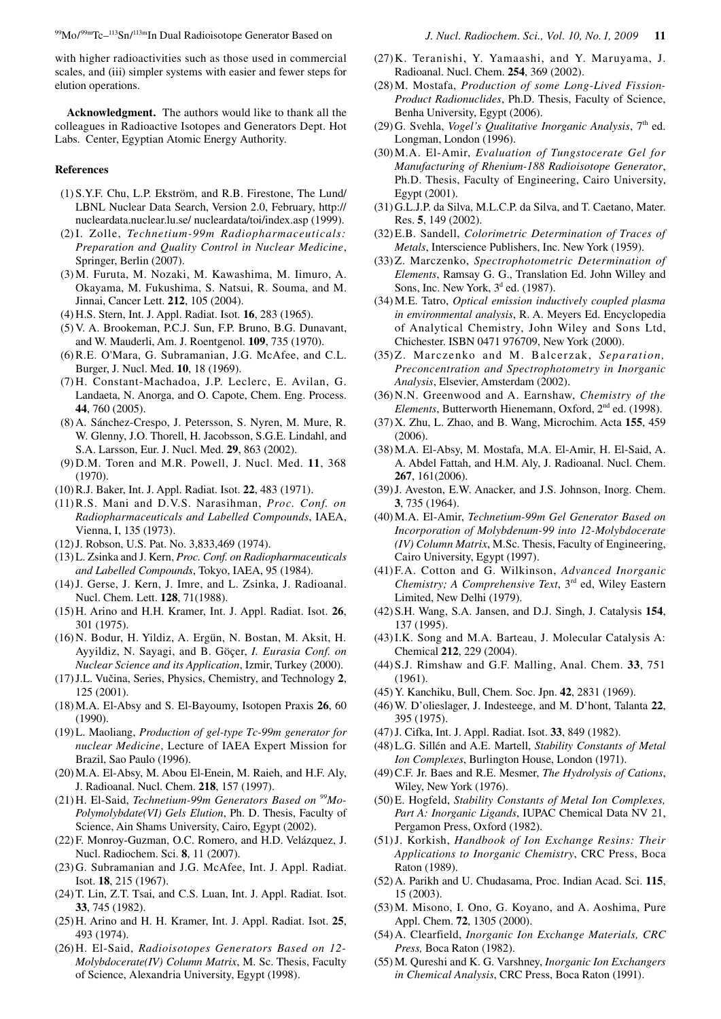with higher radioactivities such as those used in commercial scales, and (iii) simpler systems with easier and fewer steps for elution operations.

**Acknowledgment.** The authors would like to thank all the colleagues in Radioactive Isotopes and Generators Dept. Hot Labs. Center, Egyptian Atomic Energy Authority.

#### **References**

- (1) S.Y.F. Chu, L.P. Ekström, and R.B. Firestone, The Lund/ LBNL Nuclear Data Search, Version 2.0, February, http:// nucleardata.nuclear.lu.se/ nucleardata/toi/index.asp (1999).
- (2) I. Zolle, *Technetium-99m Radiopharmaceuticals: Preparation and Quality Control in Nuclear Medicine*, Springer, Berlin (2007).
- (3) M. Furuta, M. Nozaki, M. Kawashima, M. Iimuro, A. Okayama, M. Fukushima, S. Natsui, R. Souma, and M. Jinnai, Cancer Lett. **212**, 105 (2004).
- (4) H.S. Stern, Int. J. Appl. Radiat. Isot. **16**, 283 (1965).
- (5) V. A. Brookeman, P.C.J. Sun, F.P. Bruno, B.G. Dunavant, and W. Mauderli, Am. J. Roentgenol. **109**, 735 (1970).
- (6) R.E. O'Mara, G. Subramanian, J.G. McAfee, and C.L. Burger, J. Nucl. Med. **10**, 18 (1969).
- (7) H. Constant-Machadoa, J.P. Leclerc, E. Avilan, G. Landaeta, N. Anorga, and O. Capote, Chem. Eng. Process. **44**, 760 (2005).
- (8) A. Sánchez-Crespo, J. Petersson, S. Nyren, M. Mure, R. W. Glenny, J.O. Thorell, H. Jacobsson, S.G.E. Lindahl, and S.A. Larsson, Eur. J. Nucl. Med. **29**, 863 (2002).
- (9) D.M. Toren and M.R. Powell, J. Nucl. Med. **11**, 368 (1970).
- (10) R.J. Baker, Int. J. Appl. Radiat. Isot. **22**, 483 (1971).
- (11) R.S. Mani and D.V.S. Narasihman, *Proc. Conf. on Radiopharmaceuticals and Labelled Compounds*, IAEA, Vienna, I, 135 (1973).
- (12) J. Robson, U.S. Pat. No. 3,833,469 (1974).
- (13) L. Zsinka and J. Kern, *Proc. Conf. on Radiopharmaceuticals and Labelled Compounds*, Tokyo, IAEA, 95 (1984).
- (14) J. Gerse, J. Kern, J. Imre, and L. Zsinka, J. Radioanal. Nucl. Chem. Lett. **128**, 71(1988).
- (15) H. Arino and H.H. Kramer, Int. J. Appl. Radiat. Isot. **26**, 301 (1975).
- (16) N. Bodur, H. Yildiz, A. Ergün, N. Bostan, M. Aksit, H. Ayyildiz, N. Sayagi, and B. Göçer, *I. Eurasia Conf. on Nuclear Science and its Application*, Izmir, Turkey (2000).
- (17) J.L. Vučina, Series, Physics, Chemistry, and Technology **2**, 125 (2001).
- (18) M.A. El-Absy and S. El-Bayoumy, Isotopen Praxis **26**, 60 (1990).
- (19) L. Maoliang, *Production of gel-type Tc-99m generator for nuclear Medicine*, Lecture of IAEA Expert Mission for Brazil, Sao Paulo (1996).
- (20) M.A. El-Absy, M. Abou El-Enein, M. Raieh, and H.F. Aly, J. Radioanal. Nucl. Chem. **218**, 157 (1997).
- (21) H. El-Said, *Technetium-99m Generators Based on 99Mo-Polymolybdate(VI) Gels Elution*, Ph. D. Thesis, Faculty of Science, Ain Shams University, Cairo, Egypt (2002).
- (22) F. Monroy-Guzman, O.C. Romero, and H.D. Velázquez, J. Nucl. Radiochem. Sci. **8**, 11 (2007).
- (23) G. Subramanian and J.G. McAfee, Int. J. Appl. Radiat. Isot. **18**, 215 (1967).
- (24) T. Lin, Z.T. Tsai, and C.S. Luan, Int. J. Appl. Radiat. Isot. **33**, 745 (1982).
- (25) H. Arino and H. H. Kramer, Int. J. Appl. Radiat. Isot. **25**, 493 (1974).
- (26) H. El-Said, *Radioisotopes Generators Based on 12- Molybdocerate(IV) Column Matrix*, M. Sc. Thesis, Faculty of Science, Alexandria University, Egypt (1998).
- (27) K. Teranishi, Y. Yamaashi, and Y. Maruyama, J. Radioanal. Nucl. Chem. **254**, 369 (2002).
- (28) M. Mostafa, *Production of some Long-Lived Fission-Product Radionuclides*, Ph.D. Thesis, Faculty of Science, Benha University, Egypt (2006).
- (29) G. Svehla, *Vogel's Qualitative Inorganic Analysis*, 7th ed. Longman, London (1996).
- (30) M.A. El-Amir, *Evaluation of Tungstocerate Gel for Manufacturing of Rhenium-188 Radioisotope Generator*, Ph.D. Thesis, Faculty of Engineering, Cairo University, Egypt (2001).
- (31) G.L.J.P. da Silva, M.L.C.P. da Silva, and T. Caetano, Mater. Res. **5**, 149 (2002).
- (32) E.B. Sandell, *Colorimetric Determination of Traces of Metals*, Interscience Publishers, Inc. New York (1959).
- (33) Z. Marczenko, *Spectrophotometric Determination of Elements*, Ramsay G. G., Translation Ed. John Willey and Sons, Inc. New York,  $3<sup>d</sup>$  ed. (1987).
- (34) M.E. Tatro, *Optical emission inductively coupled plasma in environmental analysis*, R. A. Meyers Ed. Encyclopedia of Analytical Chemistry, John Wiley and Sons Ltd, Chichester. ISBN 0471 976709, New York (2000).
- (35) Z. Marczenko and M. Balcerzak, *Separation, Preconcentration and Spectrophotometry in Inorganic Analysis*, Elsevier, Amsterdam (2002).
- (36) N.N. Greenwood and A. Earnshaw, *Chemistry of the Elements*, Butterworth Hienemann, Oxford, 2nd ed. (1998).
- (37) X. Zhu, L. Zhao, and B. Wang, Microchim. Acta **155**, 459 (2006).
- (38) M.A. El-Absy, M. Mostafa, M.A. El-Amir, H. El-Said, A. A. Abdel Fattah, and H.M. Aly, J. Radioanal. Nucl. Chem. **267**, 161(2006).
- (39) J. Aveston, E.W. Anacker, and J.S. Johnson, Inorg. Chem. **3**, 735 (1964).
- (40) M.A. El-Amir, *Technetium-99m Gel Generator Based on Incorporation of Molybdenum-99 into 12-Molybdocerate (IV) Column Matrix*, M.Sc. Thesis, Faculty of Engineering, Cairo University, Egypt (1997).
- (41) F.A. Cotton and G. Wilkinson, *Advanced Inorganic Chemistry; A Comprehensive Text*, 3<sup>rd</sup> ed, Wiley Eastern Limited, New Delhi (1979).
- (42) S.H. Wang, S.A. Jansen, and D.J. Singh, J. Catalysis **154**, 137 (1995).
- (43) I.K. Song and M.A. Barteau, J. Molecular Catalysis A: Chemical **212**, 229 (2004).
- (44) S.J. Rimshaw and G.F. Malling, Anal. Chem. **33**, 751 (1961).
- (45) Y. Kanchiku, Bull, Chem. Soc. Jpn. **42**, 2831 (1969).
- (46) W. D'olieslager, J. Indesteege, and M. D'hont, Talanta **22**, 395 (1975).
- (47) J. Cifka, Int. J. Appl. Radiat. Isot. **33**, 849 (1982).
- (48) L.G. Sillén and A.E. Martell, *Stability Constants of Metal Ion Complexes*, Burlington House, London (1971).
- (49) C.F. Jr. Baes and R.E. Mesmer, *The Hydrolysis of Cations*, Wiley, New York (1976).
- (50) E. Hogfeld, *Stability Constants of Metal Ion Complexes, Part A: Inorganic Ligands*, IUPAC Chemical Data NV 21, Pergamon Press, Oxford (1982).
- (51) J. Korkish, *Handbook of Ion Exchange Resins: Their Applications to Inorganic Chemistry*, CRC Press, Boca Raton (1989).
- (52) A. Parikh and U. Chudasama, Proc. Indian Acad. Sci. **115**, 15 (2003).
- (53) M. Misono, I. Ono, G. Koyano, and A. Aoshima, Pure Appl. Chem. **72**, 1305 (2000).
- (54) A. Clearfield, *Inorganic Ion Exchange Materials, CRC Press,* Boca Raton (1982).
- (55) M. Qureshi and K. G. Varshney, *Inorganic Ion Exchangers in Chemical Analysis*, CRC Press, Boca Raton (1991).